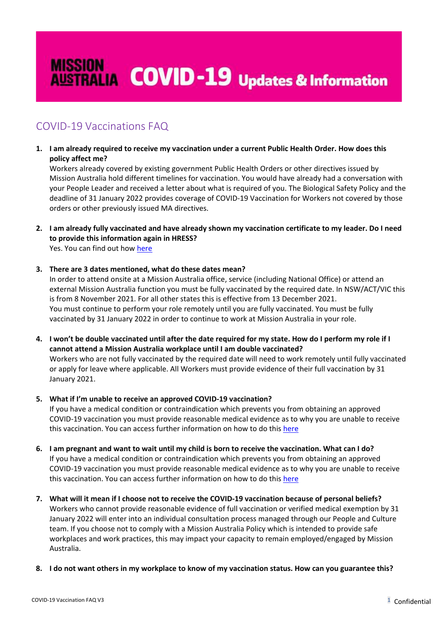# **MISSION**<br>AUSTRALIA **COVID-19** Updates & Information

# COVID-19 Vaccinations FAQ

**1. I am already required to receive my vaccination under a current Public Health Order. How does this policy affect me?**

Workers already covered by existing government Public Health Orders or other directives issued by Mission Australia hold different timelines for vaccination. You would have already had a conversation with your People Leader and received a letter about what is required of you. The Biological Safety Policy and the deadline of 31 January 2022 provides coverage of COVID-19 Vaccination for Workers not covered by those orders or other previously issued MA directives.

# **2. I am already fully vaccinated and have already shown my vaccination certificate to my leader. Do I need to provide this information again in HRESS?**

Yes. You can find out how [here](https://missionaustralia.sharepoint.com/sites/hr/Forms%20and%20templates/Forms/AllItems.aspx?id=%2Fsites%2Fhr%2FForms%20and%20templates%2FHow%20To%20Enter%5FValidate%20Vaccination%20Record%5FHRESS%2Epdf&parent=%2Fsites%2Fhr%2FForms%20and%20templates)

# **3. There are 3 dates mentioned, what do these dates mean?**

In order to attend onsite at a Mission Australia office, service (including National Office) or attend an external Mission Australia function you must be fully vaccinated by the required date. In NSW/ACT/VIC this is from 8 November 2021. For all other states this is effective from 13 December 2021. You must continue to perform your role remotely until you are fully vaccinated. You must be fully vaccinated by 31 January 2022 in order to continue to work at Mission Australia in your role.

**4. I won't be double vaccinated until after the date required for my state. How do I perform my role if I cannot attend a Mission Australia workplace until I am double vaccinated?** Workers who are not fully vaccinated by the required date will need to work remotely until fully vaccinated or apply for leave where applicable. All Workers must provide evidence of their full vaccination by 31 January 2021.

# **5. What if I'm unable to receive an approved COVID-19 vaccination?**

If you have a medical condition or contraindication which prevents you from obtaining an approved COVID-19 vaccination you must provide reasonable medical evidence as to why you are unable to receive this vaccination. You can access further information on how to do this [here](https://missionaustralia.sharepoint.com/sites/hr/Forms%20and%20templates/Forms/AllItems.aspx?id=%2Fsites%2Fhr%2FForms%20and%20templates%2FHow%20To%20Enter%5FValidate%20Vaccination%20Record%5FHRESS%2Epdf&parent=%2Fsites%2Fhr%2FForms%20and%20templates)

- **6. I am pregnant and want to wait until my child is born to receive the vaccination. What can I do?** If you have a medical condition or contraindication which prevents you from obtaining an approved COVID-19 vaccination you must provide reasonable medical evidence as to why you are unable to receive this vaccination. You can access further information on how to do this [here](https://missionaustralia.sharepoint.com/sites/hr/Forms%20and%20templates/Forms/AllItems.aspx?id=%2Fsites%2Fhr%2FForms%20and%20templates%2FHow%20To%20Enter%5FValidate%20Vaccination%20Record%5FHRESS%2Epdf&parent=%2Fsites%2Fhr%2FForms%20and%20templates)
- **7. What will it mean if I choose not to receive the COVID-19 vaccination because of personal beliefs?** Workers who cannot provide reasonable evidence of full vaccination or verified medical exemption by 31 January 2022 will enter into an individual consultation process managed through our People and Culture team. If you choose not to comply with a Mission Australia Policy which is intended to provide safe workplaces and work practices, this may impact your capacity to remain employed/engaged by Mission Australia.
- **8. I do not want others in my workplace to know of my vaccination status. How can you guarantee this?**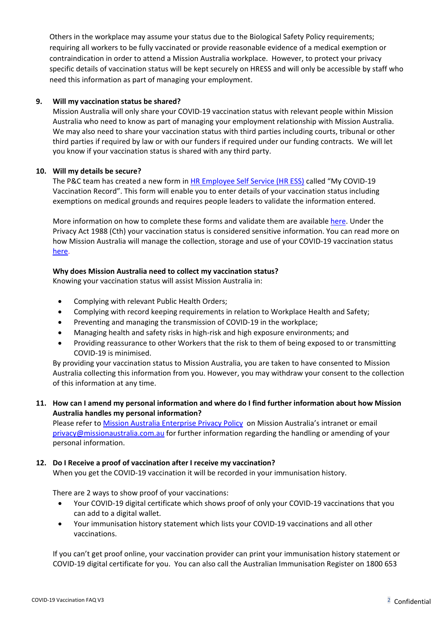Others in the workplace may assume your status due to the Biological Safety Policy requirements; requiring all workers to be fully vaccinated or provide reasonable evidence of a medical exemption or contraindication in order to attend a Mission Australia workplace. However, to protect your privacy specific details of vaccination status will be kept securely on HRESS and will only be accessible by staff who need this information as part of managing your employment.

#### **9. Will my vaccination status be shared?**

Mission Australia will only share your COVID-19 vaccination status with relevant people within Mission Australia who need to know as part of managing your employment relationship with Mission Australia. We may also need to share your vaccination status with third parties including courts, tribunal or other third parties if required by law or with our funders if required under our funding contracts. We will let you know if your vaccination status is shared with any third party.

#### **10. Will my details be secure?**

The P&C team has created a new form in [HR Employee Self Service \(HR ESS\)](https://hress.missionaustralia.com.au/hr21_Prod_V5/#/self-service/?identity=home) called "My COVID-19 Vaccination Record". This form will enable you to enter details of your vaccination status including exemptions on medical grounds and requires people leaders to validate the information entered.

More information on how to complete these forms and validate them are available [here.](https://missionaustralia.sharepoint.com/sites/hr/Forms%20and%20templates/Forms/AllItems.aspx?id=%2Fsites%2Fhr%2FForms%20and%20templates%2FHow%20To%20Enter%5FValidate%20Vaccination%20Record%5FHRESS%2Epdf&parent=%2Fsites%2Fhr%2FForms%20and%20templates) Under the Privacy Act 1988 (Cth) your vaccination status is considered sensitive information. You can read more on how Mission Australia will manage the collection, storage and use of your COVID-19 vaccination status [here.](https://missionaustralia.sharepoint.com/sites/my-mission/SiteAssets/Forms/AllItems.aspx?id=%2Fsites%2Fmy%2Dmission%2FSiteAssets%2FSitePages%2FInformation%2D%2D%2DUpdates%2D%2D%2DCoronavirus%2FVaccination%2DStatus%2DCollection%2DNotice%2D%2D%2DMA%2Dmandated%5FFINAL%2Epdf&parent=%2Fsites%2Fmy%2Dmission%2FSiteAssets%2FSitePages%2FInformation%2D%2D%2DUpdates%2D%2D%2DCoronavirus)

# **Why does Mission Australia need to collect my vaccination status?**

Knowing your vaccination status will assist Mission Australia in:

- Complying with relevant Public Health Orders;
- Complying with record keeping requirements in relation to Workplace Health and Safety;
- Preventing and managing the transmission of COVID-19 in the workplace;
- Managing health and safety risks in high-risk and high exposure environments; and
- Providing reassurance to other Workers that the risk to them of being exposed to or transmitting COVID-19 is minimised.

By providing your vaccination status to Mission Australia, you are taken to have consented to Mission Australia collecting this information from you. However, you may withdraw your consent to the collection of this information at any time.

#### **11. How can I amend my personal information and where do I find further information about how Mission Australia handles my personal information?**

Please refer t[o Mission Australia Enterprise Privacy Policy](https://missionaustralia.sharepoint.com/sites/legal/Privacy/Mission%20Australia%20Enterprise%20Privacy%20Policy.pdf) on Mission Australia's intranet or email [privacy@missionaustralia.com.au](mailto:privacy@missionaustralia.com.au) for further information regarding the handling or amending of your personal information.

# **12. Do I Receive a proof of vaccination after I receive my vaccination?**

When you get the COVID-19 vaccination it will be recorded in your immunisation history.

There are 2 ways to show proof of your vaccinations:

- Your COVID-19 digital certificate which shows proof of only your COVID-19 vaccinations that you can add to a digital wallet.
- Your immunisation history statement which lists your COVID-19 vaccinations and all other vaccinations.

If you can't get proof online, your vaccination provider can print your immunisation history statement or COVID-19 digital certificate for you. You can also call the Australian Immunisation Register on 1800 653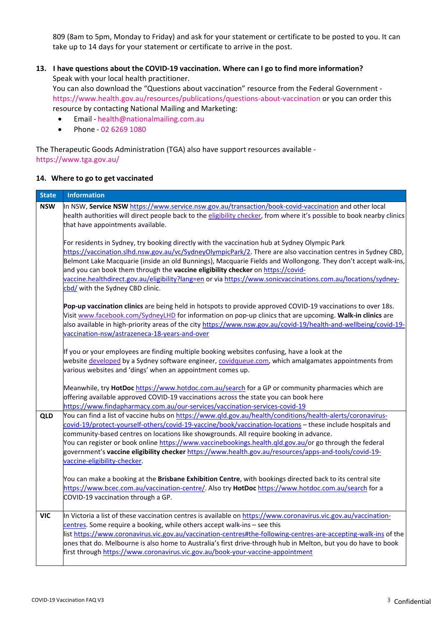809 (8am to 5pm, Monday to Friday) and ask for your statement or certificate to be posted to you. It can take up to 14 days for your statement or certificate to arrive in the post.

### **13. I have questions about the COVID-19 vaccination. Where can I go to find more information?** Speak with your local health practitioner.

You can also download the "Questions about vaccination" resource from the Federal Government <https://www.health.gov.au/resources/publications/questions-about-vaccination> or you can order this resource by contacting National Mailing and Marketing:

- Email [health@nationalmailing.com.au](mailto:health@nationalmailing.com.au)
- Phone 02 6269 1080

The Therapeutic Goods Administration (TGA) also have support resources available <https://www.tga.gov.au/>

#### **14. Where to go to get vaccinated**

| <b>State</b> | <b>Information</b>                                                                                                                                                                                                                                                                                                                                                                                                                                                                                                                                                      |
|--------------|-------------------------------------------------------------------------------------------------------------------------------------------------------------------------------------------------------------------------------------------------------------------------------------------------------------------------------------------------------------------------------------------------------------------------------------------------------------------------------------------------------------------------------------------------------------------------|
| <b>NSW</b>   | In NSW, Service NSW https://www.service.nsw.gov.au/transaction/book-covid-vaccination and other local<br>health authorities will direct people back to the eligibility checker, from where it's possible to book nearby clinics<br>that have appointments available.                                                                                                                                                                                                                                                                                                    |
|              | For residents in Sydney, try booking directly with the vaccination hub at Sydney Olympic Park<br>https://vaccination.slhd.nsw.gov.au/vc/SydneyOlympicPark/2. There are also vaccination centres in Sydney CBD,<br>Belmont Lake Macquarie (inside an old Bunnings), Macquarie Fields and Wollongong. They don't accept walk-ins,<br>and you can book them through the vaccine eligibility checker on https://covid-<br>vaccine.healthdirect.gov.au/eligibility?lang=en or via https://www.sonicvaccinations.com.au/locations/sydney-<br>cbd/ with the Sydney CBD clinic. |
|              | Pop-up vaccination clinics are being held in hotspots to provide approved COVID-19 vaccinations to over 18s.<br>Visit www.facebook.com/SydneyLHD for information on pop-up clinics that are upcoming. Walk-in clinics are<br>also available in high-priority areas of the city https://www.nsw.gov.au/covid-19/health-and-wellbeing/covid-19-<br>vaccination-nsw/astrazeneca-18-years-and-over                                                                                                                                                                          |
|              | If you or your employees are finding multiple booking websites confusing, have a look at the<br>website developed by a Sydney software engineer, covidqueue.com, which amalgamates appointments from<br>various websites and 'dings' when an appointment comes up.                                                                                                                                                                                                                                                                                                      |
|              | Meanwhile, try HotDoc https://www.hotdoc.com.au/search for a GP or community pharmacies which are<br>offering available approved COVID-19 vaccinations across the state you can book here<br>https://www.findapharmacy.com.au/our-services/vaccination-services-covid-19                                                                                                                                                                                                                                                                                                |
| <b>QLD</b>   | You can find a list of vaccine hubs on https://www.qld.gov.au/health/conditions/health-alerts/coronavirus-<br>covid-19/protect-yourself-others/covid-19-vaccine/book/vaccination-locations - these include hospitals and<br>community-based centres on locations like showgrounds. All require booking in advance.<br>You can register or book online https://www.vaccinebookings.health.qld.gov.au/or go through the federal<br>government's vaccine eligibility checker https://www.health.gov.au/resources/apps-and-tools/covid-19-<br>vaccine-eligibility-checker.  |
|              | You can make a booking at the Brisbane Exhibition Centre, with bookings directed back to its central site<br>https://www.bcec.com.au/vaccination-centre/. Also try HotDoc https://www.hotdoc.com.au/search for a<br>COVID-19 vaccination through a GP.                                                                                                                                                                                                                                                                                                                  |
| VIC          | In Victoria a list of these vaccination centres is available on https://www.coronavirus.vic.gov.au/vaccination-<br>centres. Some require a booking, while others accept walk-ins - see this<br>list https://www.coronavirus.vic.gov.au/vaccination-centres#the-following-centres-are-accepting-walk-ins of the<br>ones that do. Melbourne is also home to Australia's first drive-through hub in Melton, but you do have to book<br>first through https://www.coronavirus.vic.gov.au/book-your-vaccine-appointment                                                      |